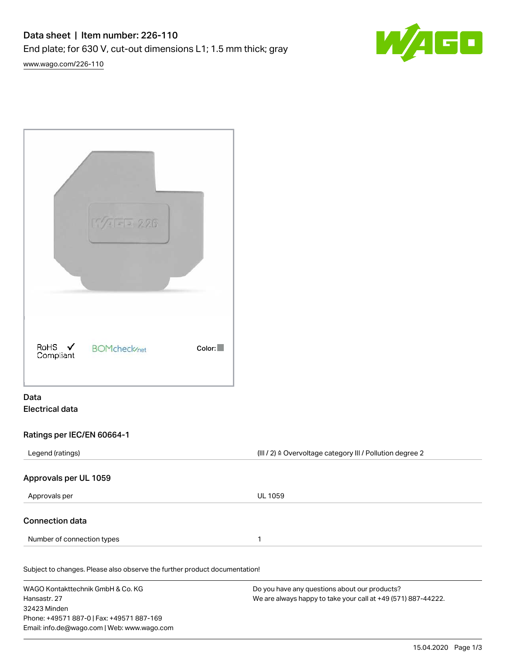# Data sheet | Item number: 226-110 End plate; for 630 V, cut-out dimensions L1; 1.5 mm thick; gray





|                                | 5/17/2              |        |
|--------------------------------|---------------------|--------|
| RoHS $\checkmark$<br>Compliant | <b>BOMcheck/net</b> | Color: |

### Data Electrical data

#### Ratings per IEC/EN 60664-1

| Legend (ratings)                                                           | (III / 2) $\triangleq$ Overvoltage category III / Pollution degree 2 |  |
|----------------------------------------------------------------------------|----------------------------------------------------------------------|--|
| Approvals per UL 1059                                                      |                                                                      |  |
| Approvals per                                                              | <b>UL 1059</b>                                                       |  |
| <b>Connection data</b>                                                     |                                                                      |  |
| Number of connection types                                                 | 1                                                                    |  |
| Subject to changes. Please also observe the further product documentation! |                                                                      |  |
| WAGO Kontakttechnik GmbH & Co. KG                                          | Do you have any questions about our products?                        |  |
| Hansastr, 27                                                               | We are always happy to take your call at +49 (571) 887-44222.        |  |
| 32423 Minden                                                               |                                                                      |  |
| Phone: +49571 887-0   Fax: +49571 887-169                                  |                                                                      |  |
| Email: info.de@wago.com   Web: www.wago.com                                |                                                                      |  |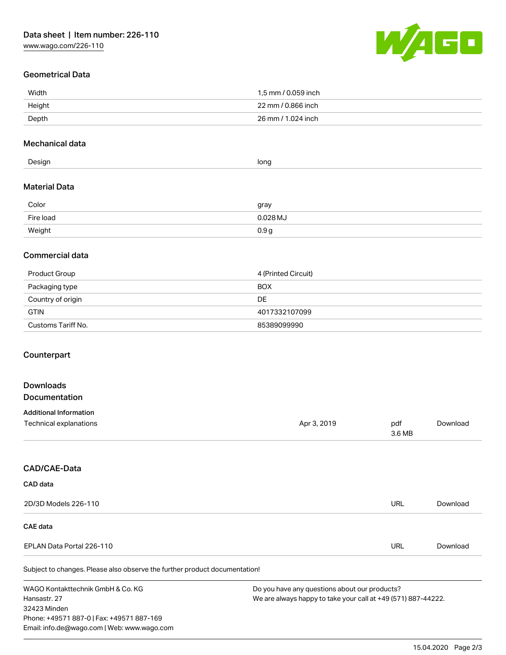

### Geometrical Data

| Width  | 1.5 mm / 0.059 inch |
|--------|---------------------|
| Height | 22 mm / 0.866 inch  |
| Depth  | 26 mm / 1.024 inch  |

#### Mechanical data

| Inn <sub>c</sub><br>Design<br><br>. . |  |
|---------------------------------------|--|
|---------------------------------------|--|

#### Material Data

| Color     | gray             |
|-----------|------------------|
| Fire load | $0.028$ MJ       |
| Weight    | 0.9 <sub>g</sub> |

#### Commercial data

| Product Group      | 4 (Printed Circuit) |
|--------------------|---------------------|
| Packaging type     | <b>BOX</b>          |
| Country of origin  | DE                  |
| <b>GTIN</b>        | 4017332107099       |
| Customs Tariff No. | 85389099990         |

#### Counterpart

## Downloads Documentation Additional Information Technical explanations and political explanations and political explanations and political explanations and political explanations and political explanations and political explanations and political explanations and politi 3.6 MB [Download](https://www.wago.com/de/d/1435602) CAD/CAE-Data CAD data 2D/3D Models 226-110 URL [Download](https://www.wago.com/de/d/3D_URLS_226-110)

#### CAE data

| EPLAN Data Portal 226-110 | URL | Download |
|---------------------------|-----|----------|
|                           |     |          |

Subject to changes. Please also observe the further product documentation!

WAGO Kontakttechnik GmbH & Co. KG Hansastr. 27 32423 Minden Phone: +49571 887-0 | Fax: +49571 887-169 Email: info.de@wago.com | Web: www.wago.com Do you have any questions about our products? We are always happy to take your call at +49 (571) 887-44222.